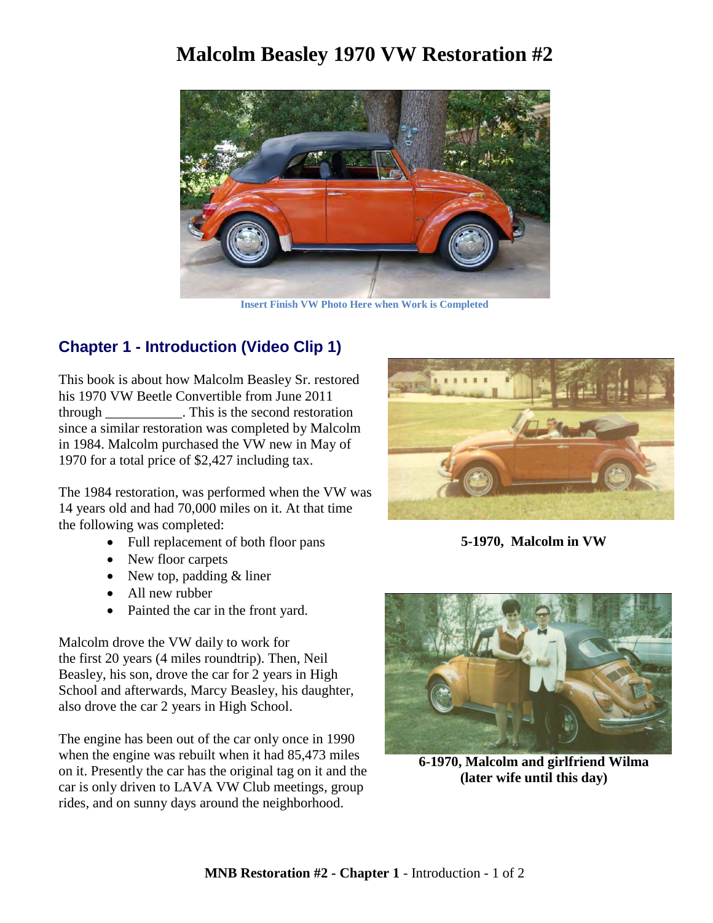## **Malcolm Beasley 1970 VW Restoration #2**



**Insert Finish VW Photo Here when Work is Completed**

## **Chapter 1 - Introduction (Video Clip 1)**

This book is about how Malcolm Beasley Sr. restored his 1970 VW Beetle Convertible from June 2011 through \_\_\_\_\_\_\_\_\_\_\_. This is the second restoration since a similar restoration was completed by Malcolm in 1984. Malcolm purchased the VW new in May of 1970 for a total price of \$2,427 including tax.

The 1984 restoration, was performed when the VW was 14 years old and had 70,000 miles on it. At that time the following was completed:

- Full replacement of both floor pans
- New floor carpets
- New top, padding  $&$  liner
- All new rubber
- Painted the car in the front yard.

Malcolm drove the VW daily to work for the first 20 years (4 miles roundtrip). Then, Neil Beasley, his son, drove the car for 2 years in High School and afterwards, Marcy Beasley, his daughter, also drove the car 2 years in High School.

The engine has been out of the car only once in 1990 when the engine was rebuilt when it had 85,473 miles on it. Presently the car has the original tag on it and the car is only driven to LAVA VW Club meetings, group rides, and on sunny days around the neighborhood.



**5-1970, Malcolm in VW**



**6-1970, Malcolm and girlfriend Wilma (later wife until this day)**